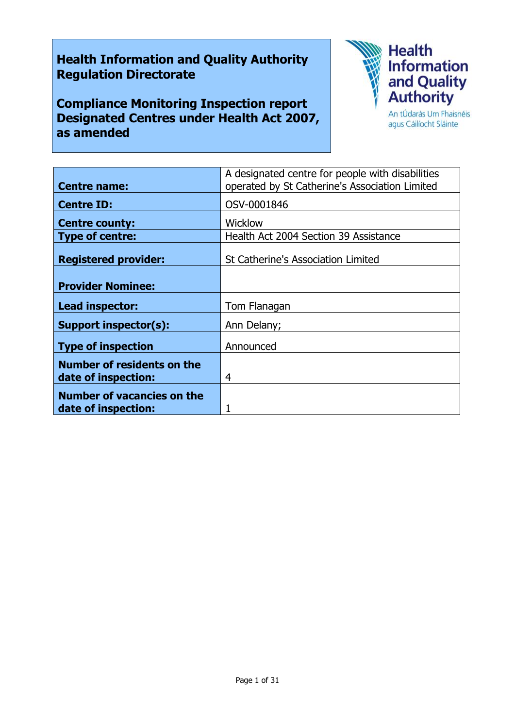# **Health Information and Quality Authority Regulation Directorate**

**Compliance Monitoring Inspection report Designated Centres under Health Act 2007, as amended**



agus Cáilíocht Sláinte

|                                   | A designated centre for people with disabilities |
|-----------------------------------|--------------------------------------------------|
| <b>Centre name:</b>               | operated by St Catherine's Association Limited   |
| <b>Centre ID:</b>                 | OSV-0001846                                      |
| <b>Centre county:</b>             | <b>Wicklow</b>                                   |
| <b>Type of centre:</b>            | Health Act 2004 Section 39 Assistance            |
|                                   |                                                  |
| <b>Registered provider:</b>       | <b>St Catherine's Association Limited</b>        |
|                                   |                                                  |
| <b>Provider Nominee:</b>          |                                                  |
| Lead inspector:                   | Tom Flanagan                                     |
| Support inspector(s):             | Ann Delany;                                      |
| <b>Type of inspection</b>         | Announced                                        |
| <b>Number of residents on the</b> |                                                  |
| date of inspection:               | 4                                                |
| <b>Number of vacancies on the</b> |                                                  |
| date of inspection:               |                                                  |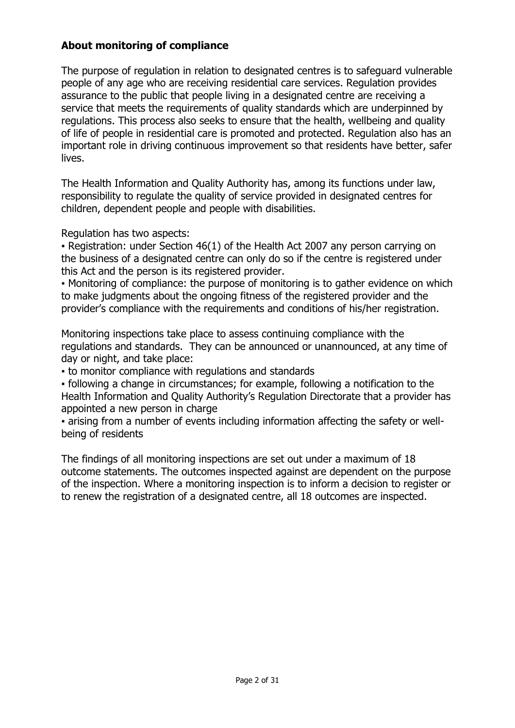### **About monitoring of compliance**

The purpose of regulation in relation to designated centres is to safeguard vulnerable people of any age who are receiving residential care services. Regulation provides assurance to the public that people living in a designated centre are receiving a service that meets the requirements of quality standards which are underpinned by regulations. This process also seeks to ensure that the health, wellbeing and quality of life of people in residential care is promoted and protected. Regulation also has an important role in driving continuous improvement so that residents have better, safer lives.

The Health Information and Quality Authority has, among its functions under law, responsibility to regulate the quality of service provided in designated centres for children, dependent people and people with disabilities.

Regulation has two aspects:

• Registration: under Section 46(1) of the Health Act 2007 any person carrying on the business of a designated centre can only do so if the centre is registered under this Act and the person is its registered provider.

▪ Monitoring of compliance: the purpose of monitoring is to gather evidence on which to make judgments about the ongoing fitness of the registered provider and the provider's compliance with the requirements and conditions of his/her registration.

Monitoring inspections take place to assess continuing compliance with the regulations and standards. They can be announced or unannounced, at any time of day or night, and take place:

▪ to monitor compliance with regulations and standards

▪ following a change in circumstances; for example, following a notification to the Health Information and Quality Authority's Regulation Directorate that a provider has appointed a new person in charge

▪ arising from a number of events including information affecting the safety or wellbeing of residents

The findings of all monitoring inspections are set out under a maximum of 18 outcome statements. The outcomes inspected against are dependent on the purpose of the inspection. Where a monitoring inspection is to inform a decision to register or to renew the registration of a designated centre, all 18 outcomes are inspected.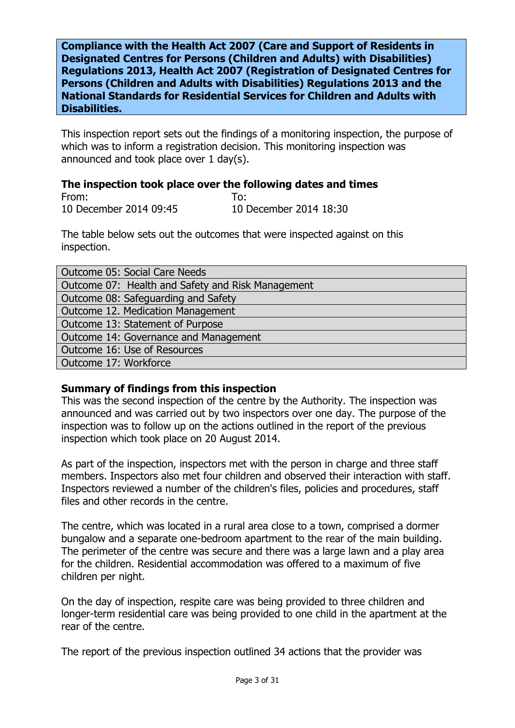**Compliance with the Health Act 2007 (Care and Support of Residents in Designated Centres for Persons (Children and Adults) with Disabilities) Regulations 2013, Health Act 2007 (Registration of Designated Centres for Persons (Children and Adults with Disabilities) Regulations 2013 and the National Standards for Residential Services for Children and Adults with Disabilities.**

This inspection report sets out the findings of a monitoring inspection, the purpose of which was to inform a registration decision. This monitoring inspection was announced and took place over 1 day(s).

# **The inspection took place over the following dates and times**

From: To: 10 December 2014 09:45 10 December 2014 18:30

The table below sets out the outcomes that were inspected against on this inspection.

| Outcome 05: Social Care Needs                     |  |
|---------------------------------------------------|--|
| Outcome 07: Health and Safety and Risk Management |  |
| Outcome 08: Safeguarding and Safety               |  |
| Outcome 12. Medication Management                 |  |
| Outcome 13: Statement of Purpose                  |  |
| Outcome 14: Governance and Management             |  |
| Outcome 16: Use of Resources                      |  |
| Outcome 17: Workforce                             |  |

# **Summary of findings from this inspection**

This was the second inspection of the centre by the Authority. The inspection was announced and was carried out by two inspectors over one day. The purpose of the inspection was to follow up on the actions outlined in the report of the previous inspection which took place on 20 August 2014.

As part of the inspection, inspectors met with the person in charge and three staff members. Inspectors also met four children and observed their interaction with staff. Inspectors reviewed a number of the children's files, policies and procedures, staff files and other records in the centre.

The centre, which was located in a rural area close to a town, comprised a dormer bungalow and a separate one-bedroom apartment to the rear of the main building. The perimeter of the centre was secure and there was a large lawn and a play area for the children. Residential accommodation was offered to a maximum of five children per night.

On the day of inspection, respite care was being provided to three children and longer-term residential care was being provided to one child in the apartment at the rear of the centre.

The report of the previous inspection outlined 34 actions that the provider was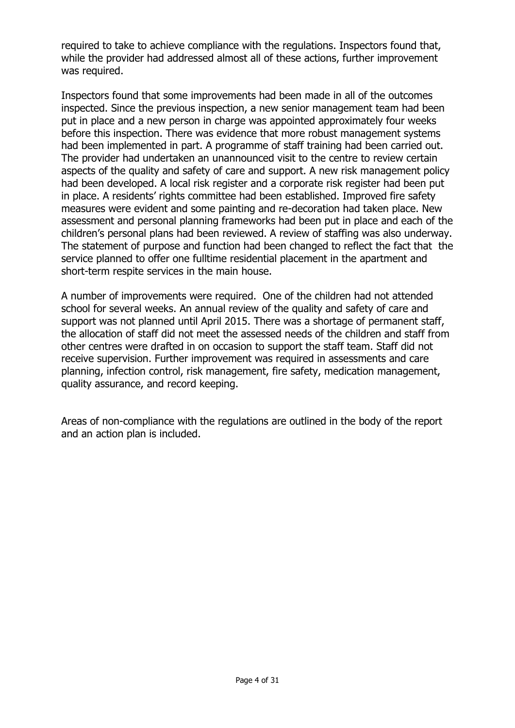required to take to achieve compliance with the regulations. Inspectors found that, while the provider had addressed almost all of these actions, further improvement was required.

Inspectors found that some improvements had been made in all of the outcomes inspected. Since the previous inspection, a new senior management team had been put in place and a new person in charge was appointed approximately four weeks before this inspection. There was evidence that more robust management systems had been implemented in part. A programme of staff training had been carried out. The provider had undertaken an unannounced visit to the centre to review certain aspects of the quality and safety of care and support. A new risk management policy had been developed. A local risk register and a corporate risk register had been put in place. A residents' rights committee had been established. Improved fire safety measures were evident and some painting and re-decoration had taken place. New assessment and personal planning frameworks had been put in place and each of the children's personal plans had been reviewed. A review of staffing was also underway. The statement of purpose and function had been changed to reflect the fact that the service planned to offer one fulltime residential placement in the apartment and short-term respite services in the main house.

A number of improvements were required. One of the children had not attended school for several weeks. An annual review of the quality and safety of care and support was not planned until April 2015. There was a shortage of permanent staff, the allocation of staff did not meet the assessed needs of the children and staff from other centres were drafted in on occasion to support the staff team. Staff did not receive supervision. Further improvement was required in assessments and care planning, infection control, risk management, fire safety, medication management, quality assurance, and record keeping.

Areas of non-compliance with the regulations are outlined in the body of the report and an action plan is included.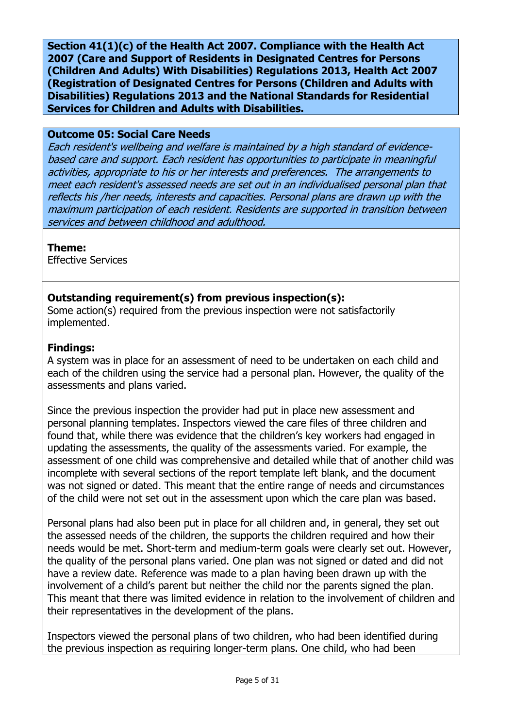**Section 41(1)(c) of the Health Act 2007. Compliance with the Health Act 2007 (Care and Support of Residents in Designated Centres for Persons (Children And Adults) With Disabilities) Regulations 2013, Health Act 2007 (Registration of Designated Centres for Persons (Children and Adults with Disabilities) Regulations 2013 and the National Standards for Residential Services for Children and Adults with Disabilities.**

### **Outcome 05: Social Care Needs**

Each resident's wellbeing and welfare is maintained by a high standard of evidencebased care and support. Each resident has opportunities to participate in meaningful activities, appropriate to his or her interests and preferences. The arrangements to meet each resident's assessed needs are set out in an individualised personal plan that reflects his /her needs, interests and capacities. Personal plans are drawn up with the maximum participation of each resident. Residents are supported in transition between services and between childhood and adulthood.

# **Theme:**

Effective Services

# **Outstanding requirement(s) from previous inspection(s):**

Some action(s) required from the previous inspection were not satisfactorily implemented.

### **Findings:**

A system was in place for an assessment of need to be undertaken on each child and each of the children using the service had a personal plan. However, the quality of the assessments and plans varied.

Since the previous inspection the provider had put in place new assessment and personal planning templates. Inspectors viewed the care files of three children and found that, while there was evidence that the children's key workers had engaged in updating the assessments, the quality of the assessments varied. For example, the assessment of one child was comprehensive and detailed while that of another child was incomplete with several sections of the report template left blank, and the document was not signed or dated. This meant that the entire range of needs and circumstances of the child were not set out in the assessment upon which the care plan was based.

Personal plans had also been put in place for all children and, in general, they set out the assessed needs of the children, the supports the children required and how their needs would be met. Short-term and medium-term goals were clearly set out. However, the quality of the personal plans varied. One plan was not signed or dated and did not have a review date. Reference was made to a plan having been drawn up with the involvement of a child's parent but neither the child nor the parents signed the plan. This meant that there was limited evidence in relation to the involvement of children and their representatives in the development of the plans.

Inspectors viewed the personal plans of two children, who had been identified during the previous inspection as requiring longer-term plans. One child, who had been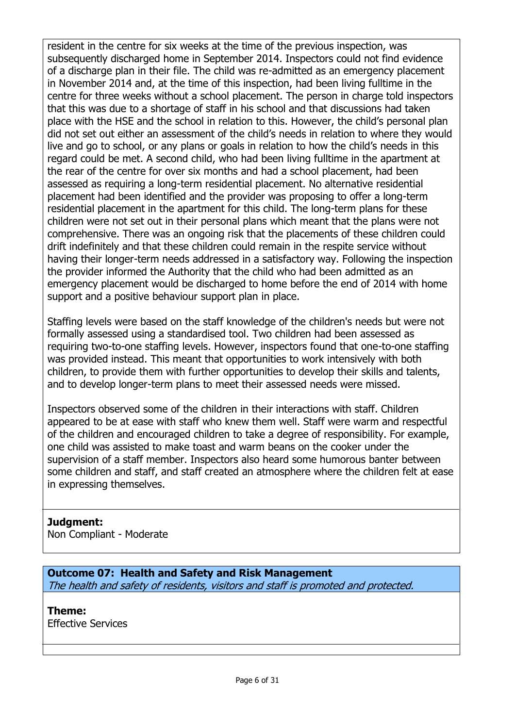resident in the centre for six weeks at the time of the previous inspection, was subsequently discharged home in September 2014. Inspectors could not find evidence of a discharge plan in their file. The child was re-admitted as an emergency placement in November 2014 and, at the time of this inspection, had been living fulltime in the centre for three weeks without a school placement. The person in charge told inspectors that this was due to a shortage of staff in his school and that discussions had taken place with the HSE and the school in relation to this. However, the child's personal plan did not set out either an assessment of the child's needs in relation to where they would live and go to school, or any plans or goals in relation to how the child's needs in this regard could be met. A second child, who had been living fulltime in the apartment at the rear of the centre for over six months and had a school placement, had been assessed as requiring a long-term residential placement. No alternative residential placement had been identified and the provider was proposing to offer a long-term residential placement in the apartment for this child. The long-term plans for these children were not set out in their personal plans which meant that the plans were not comprehensive. There was an ongoing risk that the placements of these children could drift indefinitely and that these children could remain in the respite service without having their longer-term needs addressed in a satisfactory way. Following the inspection the provider informed the Authority that the child who had been admitted as an emergency placement would be discharged to home before the end of 2014 with home support and a positive behaviour support plan in place.

Staffing levels were based on the staff knowledge of the children's needs but were not formally assessed using a standardised tool. Two children had been assessed as requiring two-to-one staffing levels. However, inspectors found that one-to-one staffing was provided instead. This meant that opportunities to work intensively with both children, to provide them with further opportunities to develop their skills and talents, and to develop longer-term plans to meet their assessed needs were missed.

Inspectors observed some of the children in their interactions with staff. Children appeared to be at ease with staff who knew them well. Staff were warm and respectful of the children and encouraged children to take a degree of responsibility. For example, one child was assisted to make toast and warm beans on the cooker under the supervision of a staff member. Inspectors also heard some humorous banter between some children and staff, and staff created an atmosphere where the children felt at ease in expressing themselves.

# **Judgment:**

Non Compliant - Moderate

**Outcome 07: Health and Safety and Risk Management** The health and safety of residents, visitors and staff is promoted and protected.

# **Theme:**

Effective Services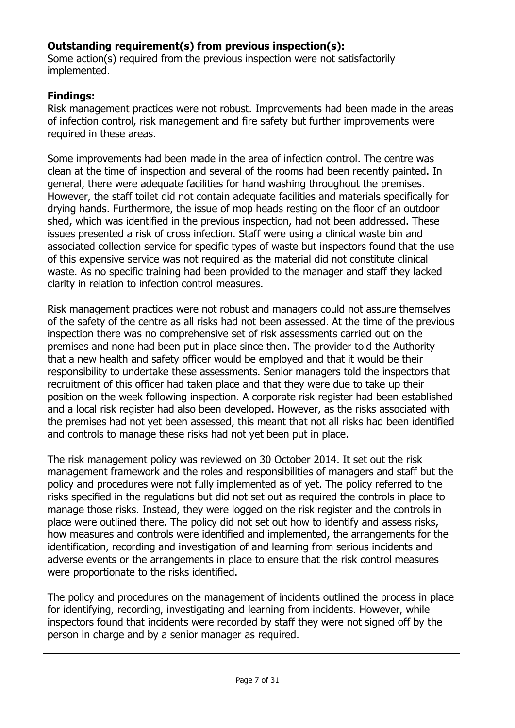# **Outstanding requirement(s) from previous inspection(s):**

Some action(s) required from the previous inspection were not satisfactorily implemented.

# **Findings:**

Risk management practices were not robust. Improvements had been made in the areas of infection control, risk management and fire safety but further improvements were required in these areas.

Some improvements had been made in the area of infection control. The centre was clean at the time of inspection and several of the rooms had been recently painted. In general, there were adequate facilities for hand washing throughout the premises. However, the staff toilet did not contain adequate facilities and materials specifically for drying hands. Furthermore, the issue of mop heads resting on the floor of an outdoor shed, which was identified in the previous inspection, had not been addressed. These issues presented a risk of cross infection. Staff were using a clinical waste bin and associated collection service for specific types of waste but inspectors found that the use of this expensive service was not required as the material did not constitute clinical waste. As no specific training had been provided to the manager and staff they lacked clarity in relation to infection control measures.

Risk management practices were not robust and managers could not assure themselves of the safety of the centre as all risks had not been assessed. At the time of the previous inspection there was no comprehensive set of risk assessments carried out on the premises and none had been put in place since then. The provider told the Authority that a new health and safety officer would be employed and that it would be their responsibility to undertake these assessments. Senior managers told the inspectors that recruitment of this officer had taken place and that they were due to take up their position on the week following inspection. A corporate risk register had been established and a local risk register had also been developed. However, as the risks associated with the premises had not yet been assessed, this meant that not all risks had been identified and controls to manage these risks had not yet been put in place.

The risk management policy was reviewed on 30 October 2014. It set out the risk management framework and the roles and responsibilities of managers and staff but the policy and procedures were not fully implemented as of yet. The policy referred to the risks specified in the regulations but did not set out as required the controls in place to manage those risks. Instead, they were logged on the risk register and the controls in place were outlined there. The policy did not set out how to identify and assess risks, how measures and controls were identified and implemented, the arrangements for the identification, recording and investigation of and learning from serious incidents and adverse events or the arrangements in place to ensure that the risk control measures were proportionate to the risks identified.

The policy and procedures on the management of incidents outlined the process in place for identifying, recording, investigating and learning from incidents. However, while inspectors found that incidents were recorded by staff they were not signed off by the person in charge and by a senior manager as required.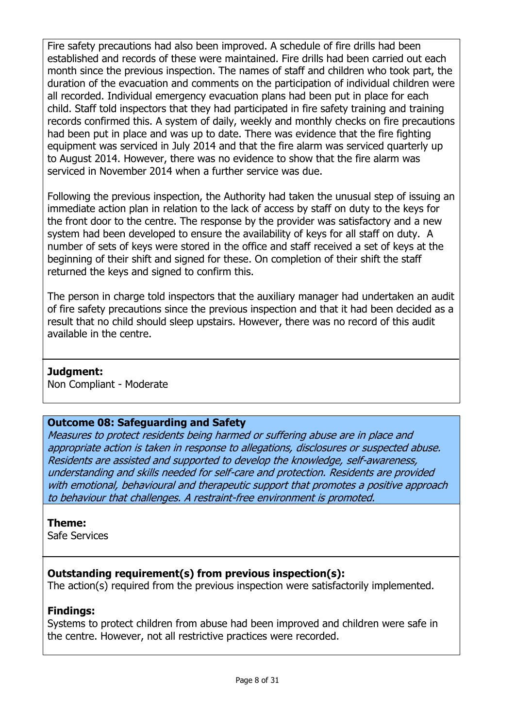Fire safety precautions had also been improved. A schedule of fire drills had been established and records of these were maintained. Fire drills had been carried out each month since the previous inspection. The names of staff and children who took part, the duration of the evacuation and comments on the participation of individual children were all recorded. Individual emergency evacuation plans had been put in place for each child. Staff told inspectors that they had participated in fire safety training and training records confirmed this. A system of daily, weekly and monthly checks on fire precautions had been put in place and was up to date. There was evidence that the fire fighting equipment was serviced in July 2014 and that the fire alarm was serviced quarterly up to August 2014. However, there was no evidence to show that the fire alarm was serviced in November 2014 when a further service was due.

Following the previous inspection, the Authority had taken the unusual step of issuing an immediate action plan in relation to the lack of access by staff on duty to the keys for the front door to the centre. The response by the provider was satisfactory and a new system had been developed to ensure the availability of keys for all staff on duty. A number of sets of keys were stored in the office and staff received a set of keys at the beginning of their shift and signed for these. On completion of their shift the staff returned the keys and signed to confirm this.

The person in charge told inspectors that the auxiliary manager had undertaken an audit of fire safety precautions since the previous inspection and that it had been decided as a result that no child should sleep upstairs. However, there was no record of this audit available in the centre.

### **Judgment:**

Non Compliant - Moderate

### **Outcome 08: Safeguarding and Safety**

Measures to protect residents being harmed or suffering abuse are in place and appropriate action is taken in response to allegations, disclosures or suspected abuse. Residents are assisted and supported to develop the knowledge, self-awareness, understanding and skills needed for self-care and protection. Residents are provided with emotional, behavioural and therapeutic support that promotes a positive approach to behaviour that challenges. A restraint-free environment is promoted.

### **Theme:**

Safe Services

# **Outstanding requirement(s) from previous inspection(s):**

The action(s) required from the previous inspection were satisfactorily implemented.

# **Findings:**

Systems to protect children from abuse had been improved and children were safe in the centre. However, not all restrictive practices were recorded.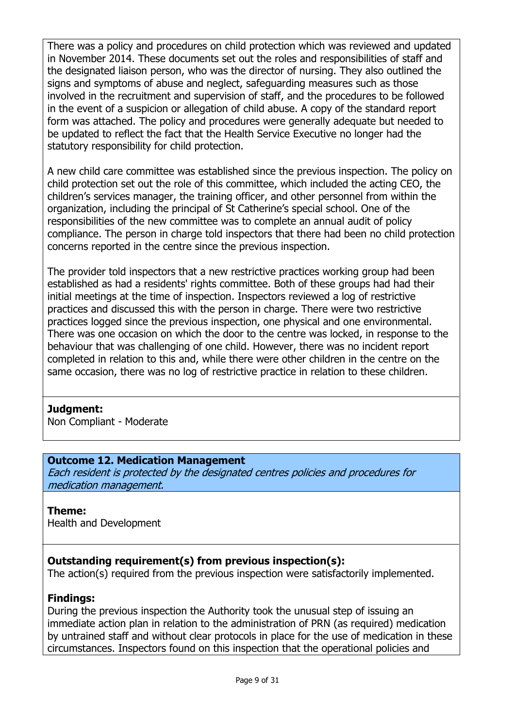There was a policy and procedures on child protection which was reviewed and updated in November 2014. These documents set out the roles and responsibilities of staff and the designated liaison person, who was the director of nursing. They also outlined the signs and symptoms of abuse and neglect, safeguarding measures such as those involved in the recruitment and supervision of staff, and the procedures to be followed in the event of a suspicion or allegation of child abuse. A copy of the standard report form was attached. The policy and procedures were generally adequate but needed to be updated to reflect the fact that the Health Service Executive no longer had the statutory responsibility for child protection.

A new child care committee was established since the previous inspection. The policy on child protection set out the role of this committee, which included the acting CEO, the children's services manager, the training officer, and other personnel from within the organization, including the principal of St Catherine's special school. One of the responsibilities of the new committee was to complete an annual audit of policy compliance. The person in charge told inspectors that there had been no child protection concerns reported in the centre since the previous inspection.

The provider told inspectors that a new restrictive practices working group had been established as had a residents' rights committee. Both of these groups had had their initial meetings at the time of inspection. Inspectors reviewed a log of restrictive practices and discussed this with the person in charge. There were two restrictive practices logged since the previous inspection, one physical and one environmental. There was one occasion on which the door to the centre was locked, in response to the behaviour that was challenging of one child. However, there was no incident report completed in relation to this and, while there were other children in the centre on the same occasion, there was no log of restrictive practice in relation to these children.

### **Judgment:**

Non Compliant - Moderate

### **Outcome 12. Medication Management**

Each resident is protected by the designated centres policies and procedures for medication management.

# **Theme:**

Health and Development

# **Outstanding requirement(s) from previous inspection(s):**

The action(s) required from the previous inspection were satisfactorily implemented.

### **Findings:**

During the previous inspection the Authority took the unusual step of issuing an immediate action plan in relation to the administration of PRN (as required) medication by untrained staff and without clear protocols in place for the use of medication in these circumstances. Inspectors found on this inspection that the operational policies and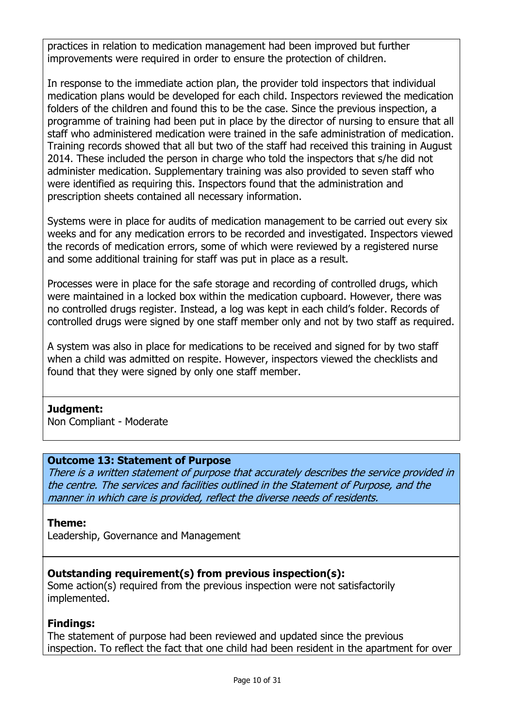practices in relation to medication management had been improved but further improvements were required in order to ensure the protection of children.

In response to the immediate action plan, the provider told inspectors that individual medication plans would be developed for each child. Inspectors reviewed the medication folders of the children and found this to be the case. Since the previous inspection, a programme of training had been put in place by the director of nursing to ensure that all staff who administered medication were trained in the safe administration of medication. Training records showed that all but two of the staff had received this training in August 2014. These included the person in charge who told the inspectors that s/he did not administer medication. Supplementary training was also provided to seven staff who were identified as requiring this. Inspectors found that the administration and prescription sheets contained all necessary information.

Systems were in place for audits of medication management to be carried out every six weeks and for any medication errors to be recorded and investigated. Inspectors viewed the records of medication errors, some of which were reviewed by a registered nurse and some additional training for staff was put in place as a result.

Processes were in place for the safe storage and recording of controlled drugs, which were maintained in a locked box within the medication cupboard. However, there was no controlled drugs register. Instead, a log was kept in each child's folder. Records of controlled drugs were signed by one staff member only and not by two staff as required.

A system was also in place for medications to be received and signed for by two staff when a child was admitted on respite. However, inspectors viewed the checklists and found that they were signed by only one staff member.

### **Judgment:**

Non Compliant - Moderate

### **Outcome 13: Statement of Purpose**

There is a written statement of purpose that accurately describes the service provided in the centre. The services and facilities outlined in the Statement of Purpose, and the manner in which care is provided, reflect the diverse needs of residents.

#### **Theme:**

Leadership, Governance and Management

### **Outstanding requirement(s) from previous inspection(s):**

Some action(s) required from the previous inspection were not satisfactorily implemented.

### **Findings:**

The statement of purpose had been reviewed and updated since the previous inspection. To reflect the fact that one child had been resident in the apartment for over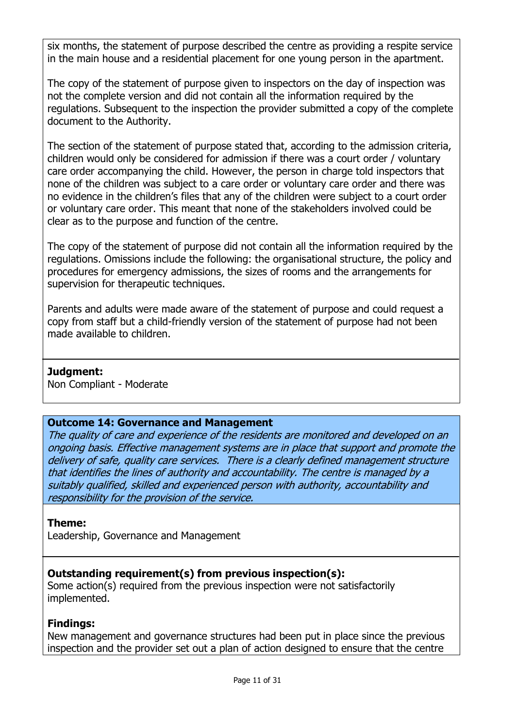six months, the statement of purpose described the centre as providing a respite service in the main house and a residential placement for one young person in the apartment.

The copy of the statement of purpose given to inspectors on the day of inspection was not the complete version and did not contain all the information required by the regulations. Subsequent to the inspection the provider submitted a copy of the complete document to the Authority.

The section of the statement of purpose stated that, according to the admission criteria, children would only be considered for admission if there was a court order / voluntary care order accompanying the child. However, the person in charge told inspectors that none of the children was subject to a care order or voluntary care order and there was no evidence in the children's files that any of the children were subject to a court order or voluntary care order. This meant that none of the stakeholders involved could be clear as to the purpose and function of the centre.

The copy of the statement of purpose did not contain all the information required by the regulations. Omissions include the following: the organisational structure, the policy and procedures for emergency admissions, the sizes of rooms and the arrangements for supervision for therapeutic techniques.

Parents and adults were made aware of the statement of purpose and could request a copy from staff but a child-friendly version of the statement of purpose had not been made available to children.

### **Judgment:**

Non Compliant - Moderate

### **Outcome 14: Governance and Management**

The quality of care and experience of the residents are monitored and developed on an ongoing basis. Effective management systems are in place that support and promote the delivery of safe, quality care services. There is a clearly defined management structure that identifies the lines of authority and accountability. The centre is managed by a suitably qualified, skilled and experienced person with authority, accountability and responsibility for the provision of the service.

### **Theme:**

Leadership, Governance and Management

# **Outstanding requirement(s) from previous inspection(s):**

Some action(s) required from the previous inspection were not satisfactorily implemented.

### **Findings:**

New management and governance structures had been put in place since the previous inspection and the provider set out a plan of action designed to ensure that the centre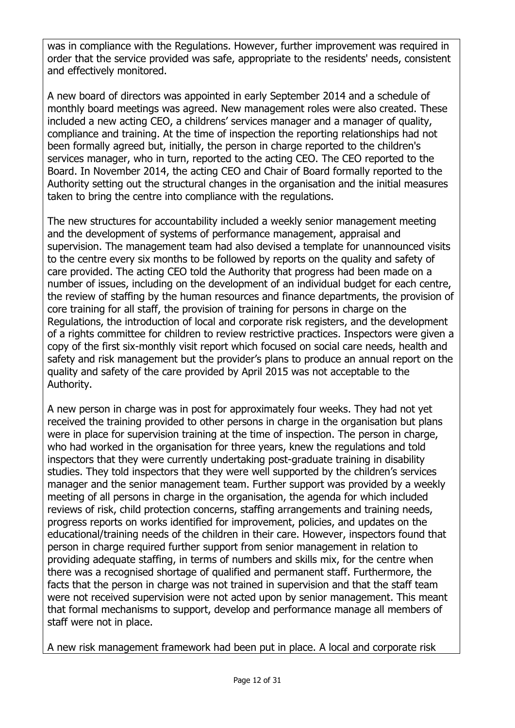was in compliance with the Regulations. However, further improvement was required in order that the service provided was safe, appropriate to the residents' needs, consistent and effectively monitored.

A new board of directors was appointed in early September 2014 and a schedule of monthly board meetings was agreed. New management roles were also created. These included a new acting CEO, a childrens' services manager and a manager of quality, compliance and training. At the time of inspection the reporting relationships had not been formally agreed but, initially, the person in charge reported to the children's services manager, who in turn, reported to the acting CEO. The CEO reported to the Board. In November 2014, the acting CEO and Chair of Board formally reported to the Authority setting out the structural changes in the organisation and the initial measures taken to bring the centre into compliance with the regulations.

The new structures for accountability included a weekly senior management meeting and the development of systems of performance management, appraisal and supervision. The management team had also devised a template for unannounced visits to the centre every six months to be followed by reports on the quality and safety of care provided. The acting CEO told the Authority that progress had been made on a number of issues, including on the development of an individual budget for each centre, the review of staffing by the human resources and finance departments, the provision of core training for all staff, the provision of training for persons in charge on the Regulations, the introduction of local and corporate risk registers, and the development of a rights committee for children to review restrictive practices. Inspectors were given a copy of the first six-monthly visit report which focused on social care needs, health and safety and risk management but the provider's plans to produce an annual report on the quality and safety of the care provided by April 2015 was not acceptable to the Authority.

A new person in charge was in post for approximately four weeks. They had not yet received the training provided to other persons in charge in the organisation but plans were in place for supervision training at the time of inspection. The person in charge, who had worked in the organisation for three years, knew the regulations and told inspectors that they were currently undertaking post-graduate training in disability studies. They told inspectors that they were well supported by the children's services manager and the senior management team. Further support was provided by a weekly meeting of all persons in charge in the organisation, the agenda for which included reviews of risk, child protection concerns, staffing arrangements and training needs, progress reports on works identified for improvement, policies, and updates on the educational/training needs of the children in their care. However, inspectors found that person in charge required further support from senior management in relation to providing adequate staffing, in terms of numbers and skills mix, for the centre when there was a recognised shortage of qualified and permanent staff. Furthermore, the facts that the person in charge was not trained in supervision and that the staff team were not received supervision were not acted upon by senior management. This meant that formal mechanisms to support, develop and performance manage all members of staff were not in place.

A new risk management framework had been put in place. A local and corporate risk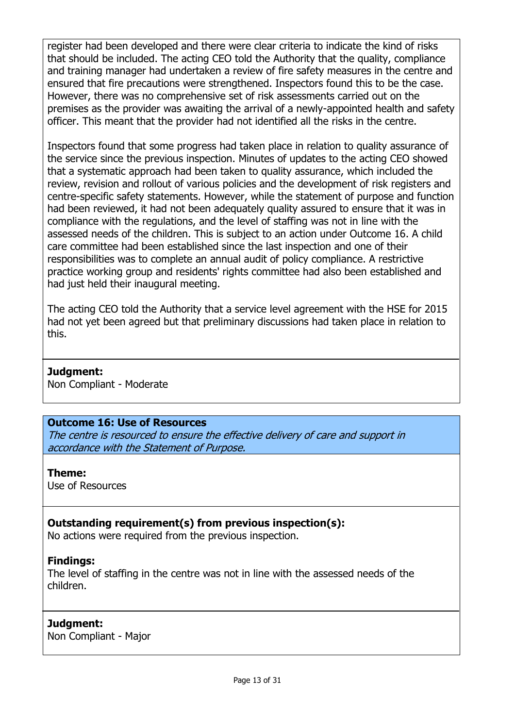register had been developed and there were clear criteria to indicate the kind of risks that should be included. The acting CEO told the Authority that the quality, compliance and training manager had undertaken a review of fire safety measures in the centre and ensured that fire precautions were strengthened. Inspectors found this to be the case. However, there was no comprehensive set of risk assessments carried out on the premises as the provider was awaiting the arrival of a newly-appointed health and safety officer. This meant that the provider had not identified all the risks in the centre.

Inspectors found that some progress had taken place in relation to quality assurance of the service since the previous inspection. Minutes of updates to the acting CEO showed that a systematic approach had been taken to quality assurance, which included the review, revision and rollout of various policies and the development of risk registers and centre-specific safety statements. However, while the statement of purpose and function had been reviewed, it had not been adequately quality assured to ensure that it was in compliance with the regulations, and the level of staffing was not in line with the assessed needs of the children. This is subject to an action under Outcome 16. A child care committee had been established since the last inspection and one of their responsibilities was to complete an annual audit of policy compliance. A restrictive practice working group and residents' rights committee had also been established and had just held their inaugural meeting.

The acting CEO told the Authority that a service level agreement with the HSE for 2015 had not yet been agreed but that preliminary discussions had taken place in relation to this.

#### **Judgment:**

Non Compliant - Moderate

#### **Outcome 16: Use of Resources**

The centre is resourced to ensure the effective delivery of care and support in accordance with the Statement of Purpose.

#### **Theme:**

Use of Resources

### **Outstanding requirement(s) from previous inspection(s):**

No actions were required from the previous inspection.

### **Findings:**

The level of staffing in the centre was not in line with the assessed needs of the children.

#### **Judgment:**

Non Compliant - Major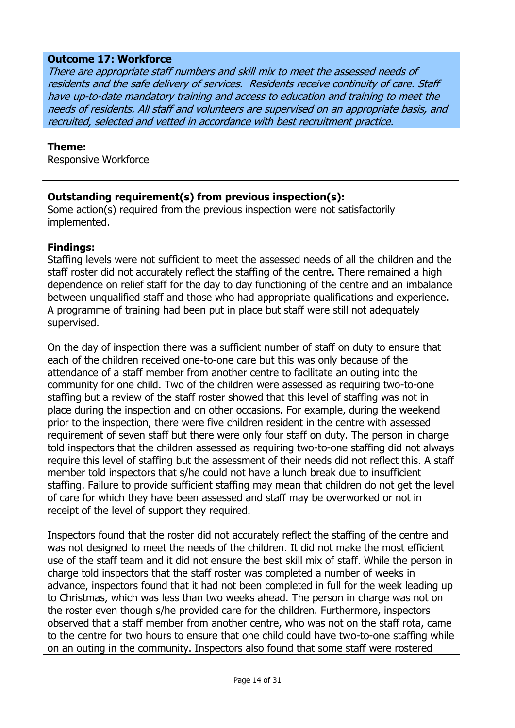#### **Outcome 17: Workforce**

There are appropriate staff numbers and skill mix to meet the assessed needs of residents and the safe delivery of services. Residents receive continuity of care. Staff have up-to-date mandatory training and access to education and training to meet the needs of residents. All staff and volunteers are supervised on an appropriate basis, and recruited, selected and vetted in accordance with best recruitment practice.

#### **Theme:**

Responsive Workforce

### **Outstanding requirement(s) from previous inspection(s):**

Some action(s) required from the previous inspection were not satisfactorily implemented.

#### **Findings:**

Staffing levels were not sufficient to meet the assessed needs of all the children and the staff roster did not accurately reflect the staffing of the centre. There remained a high dependence on relief staff for the day to day functioning of the centre and an imbalance between unqualified staff and those who had appropriate qualifications and experience. A programme of training had been put in place but staff were still not adequately supervised.

On the day of inspection there was a sufficient number of staff on duty to ensure that each of the children received one-to-one care but this was only because of the attendance of a staff member from another centre to facilitate an outing into the community for one child. Two of the children were assessed as requiring two-to-one staffing but a review of the staff roster showed that this level of staffing was not in place during the inspection and on other occasions. For example, during the weekend prior to the inspection, there were five children resident in the centre with assessed requirement of seven staff but there were only four staff on duty. The person in charge told inspectors that the children assessed as requiring two-to-one staffing did not always require this level of staffing but the assessment of their needs did not reflect this. A staff member told inspectors that s/he could not have a lunch break due to insufficient staffing. Failure to provide sufficient staffing may mean that children do not get the level of care for which they have been assessed and staff may be overworked or not in receipt of the level of support they required.

Inspectors found that the roster did not accurately reflect the staffing of the centre and was not designed to meet the needs of the children. It did not make the most efficient use of the staff team and it did not ensure the best skill mix of staff. While the person in charge told inspectors that the staff roster was completed a number of weeks in advance, inspectors found that it had not been completed in full for the week leading up to Christmas, which was less than two weeks ahead. The person in charge was not on the roster even though s/he provided care for the children. Furthermore, inspectors observed that a staff member from another centre, who was not on the staff rota, came to the centre for two hours to ensure that one child could have two-to-one staffing while on an outing in the community. Inspectors also found that some staff were rostered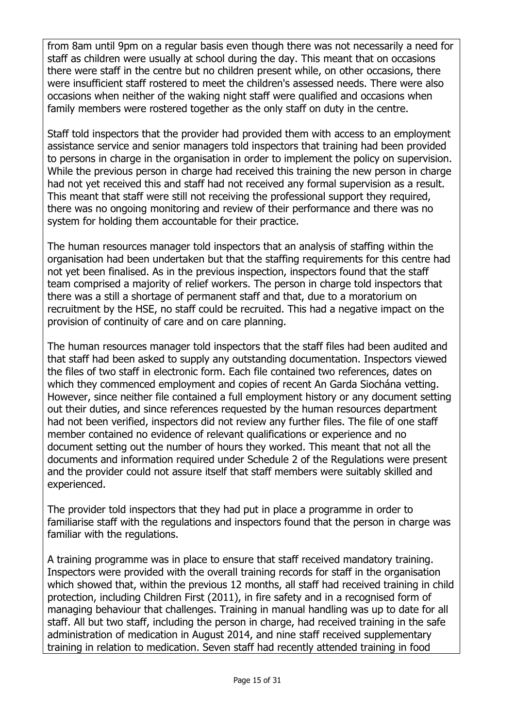from 8am until 9pm on a regular basis even though there was not necessarily a need for staff as children were usually at school during the day. This meant that on occasions there were staff in the centre but no children present while, on other occasions, there were insufficient staff rostered to meet the children's assessed needs. There were also occasions when neither of the waking night staff were qualified and occasions when family members were rostered together as the only staff on duty in the centre.

Staff told inspectors that the provider had provided them with access to an employment assistance service and senior managers told inspectors that training had been provided to persons in charge in the organisation in order to implement the policy on supervision. While the previous person in charge had received this training the new person in charge had not yet received this and staff had not received any formal supervision as a result. This meant that staff were still not receiving the professional support they required, there was no ongoing monitoring and review of their performance and there was no system for holding them accountable for their practice.

The human resources manager told inspectors that an analysis of staffing within the organisation had been undertaken but that the staffing requirements for this centre had not yet been finalised. As in the previous inspection, inspectors found that the staff team comprised a majority of relief workers. The person in charge told inspectors that there was a still a shortage of permanent staff and that, due to a moratorium on recruitment by the HSE, no staff could be recruited. This had a negative impact on the provision of continuity of care and on care planning.

The human resources manager told inspectors that the staff files had been audited and that staff had been asked to supply any outstanding documentation. Inspectors viewed the files of two staff in electronic form. Each file contained two references, dates on which they commenced employment and copies of recent An Garda Siochána vetting. However, since neither file contained a full employment history or any document setting out their duties, and since references requested by the human resources department had not been verified, inspectors did not review any further files. The file of one staff member contained no evidence of relevant qualifications or experience and no document setting out the number of hours they worked. This meant that not all the documents and information required under Schedule 2 of the Regulations were present and the provider could not assure itself that staff members were suitably skilled and experienced.

The provider told inspectors that they had put in place a programme in order to familiarise staff with the regulations and inspectors found that the person in charge was familiar with the regulations.

A training programme was in place to ensure that staff received mandatory training. Inspectors were provided with the overall training records for staff in the organisation which showed that, within the previous 12 months, all staff had received training in child protection, including Children First (2011), in fire safety and in a recognised form of managing behaviour that challenges. Training in manual handling was up to date for all staff. All but two staff, including the person in charge, had received training in the safe administration of medication in August 2014, and nine staff received supplementary training in relation to medication. Seven staff had recently attended training in food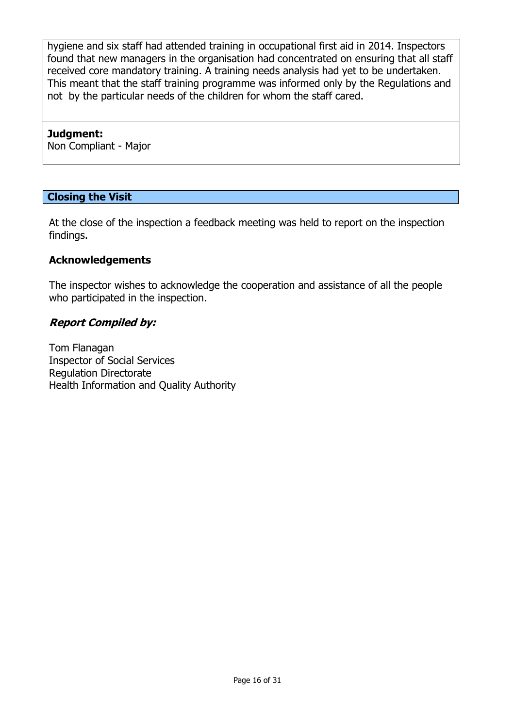hygiene and six staff had attended training in occupational first aid in 2014. Inspectors found that new managers in the organisation had concentrated on ensuring that all staff received core mandatory training. A training needs analysis had yet to be undertaken. This meant that the staff training programme was informed only by the Regulations and not by the particular needs of the children for whom the staff cared.

#### **Judgment:**

Non Compliant - Major

### **Closing the Visit**

At the close of the inspection a feedback meeting was held to report on the inspection findings.

### **Acknowledgements**

The inspector wishes to acknowledge the cooperation and assistance of all the people who participated in the inspection.

### **Report Compiled by:**

Tom Flanagan Inspector of Social Services Regulation Directorate Health Information and Quality Authority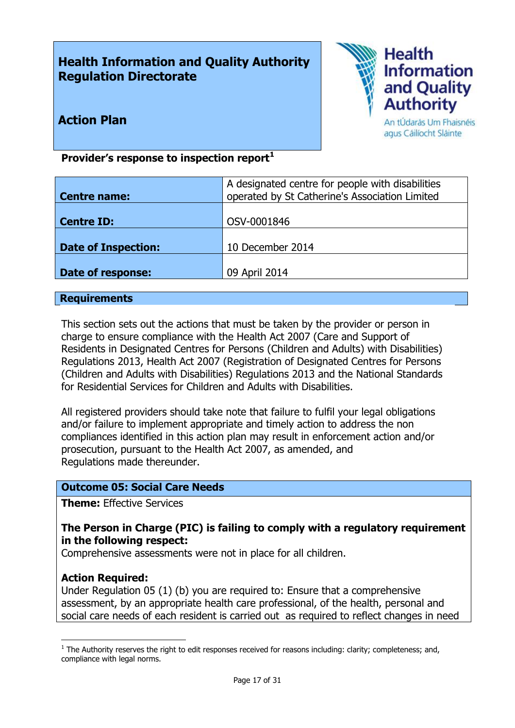# **Health Information and Quality Authority Regulation Directorate**



**Action Plan**

An tÚdarás Um Fhaisnéis agus Cáilíocht Sláinte

### **Provider's response to inspection report<sup>1</sup>**

| <b>Centre name:</b>        | A designated centre for people with disabilities<br>operated by St Catherine's Association Limited |
|----------------------------|----------------------------------------------------------------------------------------------------|
| Centre ID:                 | OSV-0001846                                                                                        |
| <b>Date of Inspection:</b> | 10 December 2014                                                                                   |
| Date of response:          | 09 April 2014                                                                                      |

#### **Requirements**

This section sets out the actions that must be taken by the provider or person in charge to ensure compliance with the Health Act 2007 (Care and Support of Residents in Designated Centres for Persons (Children and Adults) with Disabilities) Regulations 2013, Health Act 2007 (Registration of Designated Centres for Persons (Children and Adults with Disabilities) Regulations 2013 and the National Standards for Residential Services for Children and Adults with Disabilities.

All registered providers should take note that failure to fulfil your legal obligations and/or failure to implement appropriate and timely action to address the non compliances identified in this action plan may result in enforcement action and/or prosecution, pursuant to the Health Act 2007, as amended, and Regulations made thereunder.

# **Outcome 05: Social Care Needs**

**Theme:** Effective Services

### **The Person in Charge (PIC) is failing to comply with a regulatory requirement in the following respect:**

Comprehensive assessments were not in place for all children.

#### **Action Required:**

 $\overline{a}$ 

Under Regulation 05 (1) (b) you are required to: Ensure that a comprehensive assessment, by an appropriate health care professional, of the health, personal and social care needs of each resident is carried out as required to reflect changes in need

 $<sup>1</sup>$  The Authority reserves the right to edit responses received for reasons including: clarity; completeness; and,</sup> compliance with legal norms.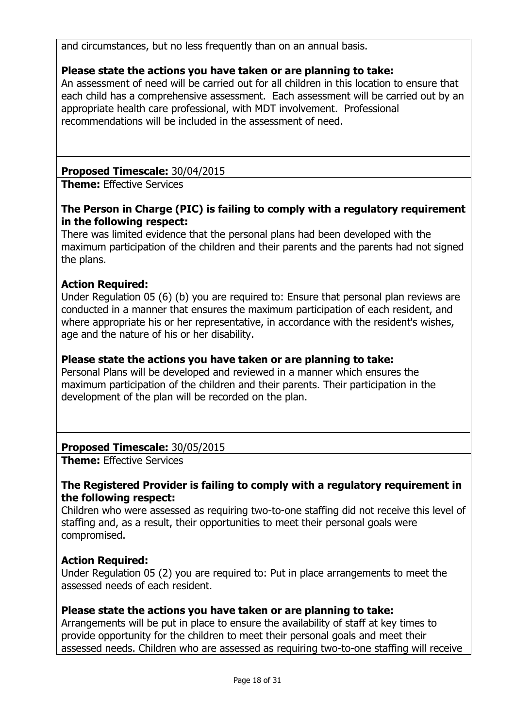and circumstances, but no less frequently than on an annual basis.

# **Please state the actions you have taken or are planning to take:**

An assessment of need will be carried out for all children in this location to ensure that each child has a comprehensive assessment. Each assessment will be carried out by an appropriate health care professional, with MDT involvement. Professional recommendations will be included in the assessment of need.

# **Proposed Timescale:** 30/04/2015

**Theme:** Effective Services

# **The Person in Charge (PIC) is failing to comply with a regulatory requirement in the following respect:**

There was limited evidence that the personal plans had been developed with the maximum participation of the children and their parents and the parents had not signed the plans.

# **Action Required:**

Under Regulation 05 (6) (b) you are required to: Ensure that personal plan reviews are conducted in a manner that ensures the maximum participation of each resident, and where appropriate his or her representative, in accordance with the resident's wishes, age and the nature of his or her disability.

### **Please state the actions you have taken or are planning to take:**

Personal Plans will be developed and reviewed in a manner which ensures the maximum participation of the children and their parents. Their participation in the development of the plan will be recorded on the plan.

# **Proposed Timescale:** 30/05/2015

**Theme:** Effective Services

### **The Registered Provider is failing to comply with a regulatory requirement in the following respect:**

Children who were assessed as requiring two-to-one staffing did not receive this level of staffing and, as a result, their opportunities to meet their personal goals were compromised.

# **Action Required:**

Under Regulation 05 (2) you are required to: Put in place arrangements to meet the assessed needs of each resident.

### **Please state the actions you have taken or are planning to take:**

Arrangements will be put in place to ensure the availability of staff at key times to provide opportunity for the children to meet their personal goals and meet their assessed needs. Children who are assessed as requiring two-to-one staffing will receive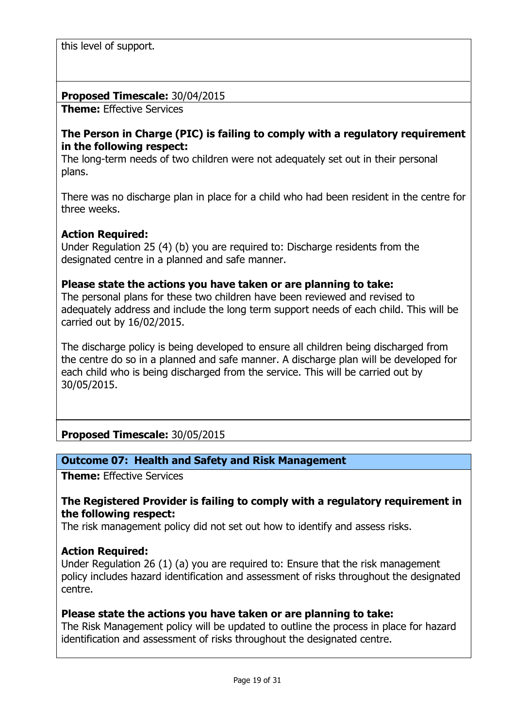this level of support.

#### **Proposed Timescale:** 30/04/2015

**Theme:** Effective Services

#### **The Person in Charge (PIC) is failing to comply with a regulatory requirement in the following respect:**

The long-term needs of two children were not adequately set out in their personal plans.

There was no discharge plan in place for a child who had been resident in the centre for three weeks.

### **Action Required:**

Under Regulation 25 (4) (b) you are required to: Discharge residents from the designated centre in a planned and safe manner.

#### **Please state the actions you have taken or are planning to take:**

The personal plans for these two children have been reviewed and revised to adequately address and include the long term support needs of each child. This will be carried out by 16/02/2015.

The discharge policy is being developed to ensure all children being discharged from the centre do so in a planned and safe manner. A discharge plan will be developed for each child who is being discharged from the service. This will be carried out by 30/05/2015.

### **Proposed Timescale:** 30/05/2015

### **Outcome 07: Health and Safety and Risk Management**

**Theme:** Effective Services

#### **The Registered Provider is failing to comply with a regulatory requirement in the following respect:**

The risk management policy did not set out how to identify and assess risks.

### **Action Required:**

Under Regulation 26 (1) (a) you are required to: Ensure that the risk management policy includes hazard identification and assessment of risks throughout the designated centre.

### **Please state the actions you have taken or are planning to take:**

The Risk Management policy will be updated to outline the process in place for hazard identification and assessment of risks throughout the designated centre.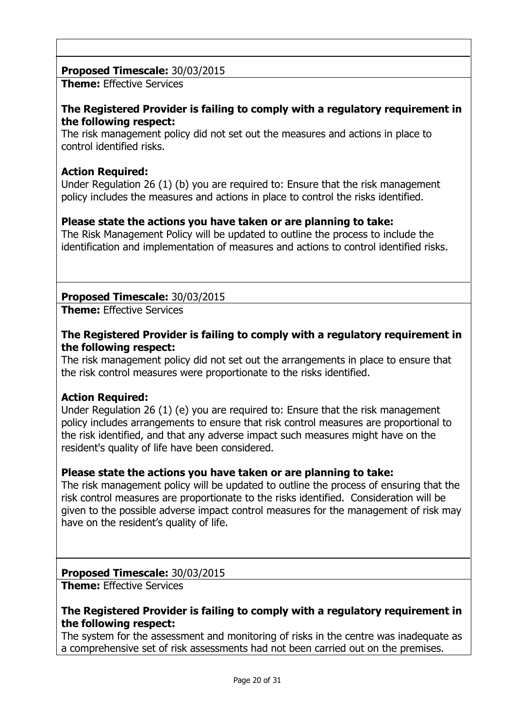# **Proposed Timescale:** 30/03/2015

**Theme:** Effective Services

### **The Registered Provider is failing to comply with a regulatory requirement in the following respect:**

The risk management policy did not set out the measures and actions in place to control identified risks.

### **Action Required:**

Under Regulation 26 (1) (b) you are required to: Ensure that the risk management policy includes the measures and actions in place to control the risks identified.

### **Please state the actions you have taken or are planning to take:**

The Risk Management Policy will be updated to outline the process to include the identification and implementation of measures and actions to control identified risks.

### **Proposed Timescale:** 30/03/2015

**Theme:** Effective Services

#### **The Registered Provider is failing to comply with a regulatory requirement in the following respect:**

The risk management policy did not set out the arrangements in place to ensure that the risk control measures were proportionate to the risks identified.

### **Action Required:**

Under Regulation 26 (1) (e) you are required to: Ensure that the risk management policy includes arrangements to ensure that risk control measures are proportional to the risk identified, and that any adverse impact such measures might have on the resident's quality of life have been considered.

### **Please state the actions you have taken or are planning to take:**

The risk management policy will be updated to outline the process of ensuring that the risk control measures are proportionate to the risks identified. Consideration will be given to the possible adverse impact control measures for the management of risk may have on the resident's quality of life.

# **Proposed Timescale:** 30/03/2015

**Theme:** Effective Services

### **The Registered Provider is failing to comply with a regulatory requirement in the following respect:**

The system for the assessment and monitoring of risks in the centre was inadequate as a comprehensive set of risk assessments had not been carried out on the premises.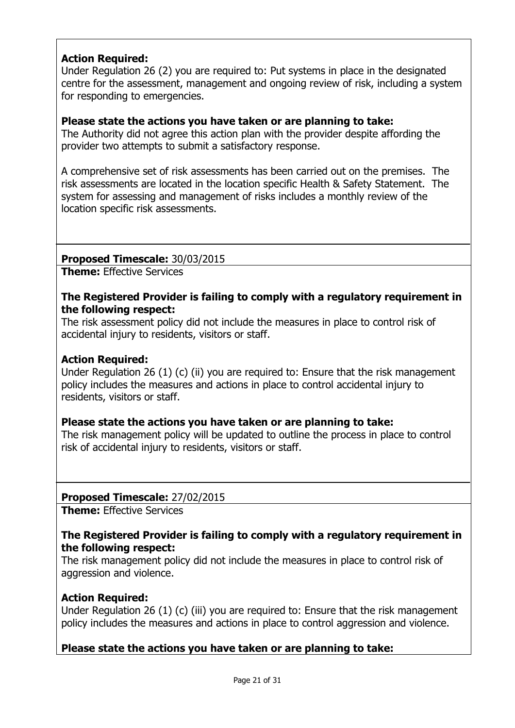# **Action Required:**

Under Regulation 26 (2) you are required to: Put systems in place in the designated centre for the assessment, management and ongoing review of risk, including a system for responding to emergencies.

### **Please state the actions you have taken or are planning to take:**

The Authority did not agree this action plan with the provider despite affording the provider two attempts to submit a satisfactory response.

A comprehensive set of risk assessments has been carried out on the premises. The risk assessments are located in the location specific Health & Safety Statement. The system for assessing and management of risks includes a monthly review of the location specific risk assessments.

**Proposed Timescale:** 30/03/2015

**Theme:** Effective Services

### **The Registered Provider is failing to comply with a regulatory requirement in the following respect:**

The risk assessment policy did not include the measures in place to control risk of accidental injury to residents, visitors or staff.

### **Action Required:**

Under Regulation 26 (1) (c) (ii) you are required to: Ensure that the risk management policy includes the measures and actions in place to control accidental injury to residents, visitors or staff.

### **Please state the actions you have taken or are planning to take:**

The risk management policy will be updated to outline the process in place to control risk of accidental injury to residents, visitors or staff.

### **Proposed Timescale:** 27/02/2015

**Theme:** Effective Services

### **The Registered Provider is failing to comply with a regulatory requirement in the following respect:**

The risk management policy did not include the measures in place to control risk of aggression and violence.

# **Action Required:**

Under Regulation 26 (1) (c) (iii) you are required to: Ensure that the risk management policy includes the measures and actions in place to control aggression and violence.

# **Please state the actions you have taken or are planning to take:**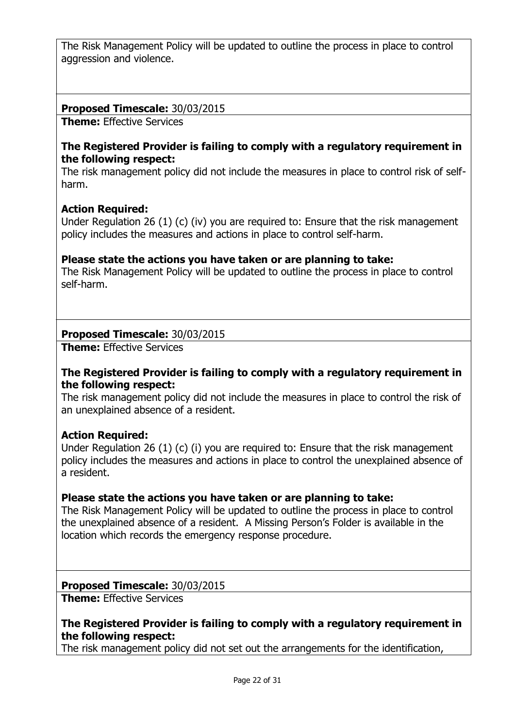The Risk Management Policy will be updated to outline the process in place to control aggression and violence.

### **Proposed Timescale:** 30/03/2015

**Theme:** Effective Services

### **The Registered Provider is failing to comply with a regulatory requirement in the following respect:**

The risk management policy did not include the measures in place to control risk of selfharm.

### **Action Required:**

Under Regulation 26 (1) (c) (iv) you are required to: Ensure that the risk management policy includes the measures and actions in place to control self-harm.

### **Please state the actions you have taken or are planning to take:**

The Risk Management Policy will be updated to outline the process in place to control self-harm.

### **Proposed Timescale:** 30/03/2015

**Theme:** Effective Services

### **The Registered Provider is failing to comply with a regulatory requirement in the following respect:**

The risk management policy did not include the measures in place to control the risk of an unexplained absence of a resident.

### **Action Required:**

Under Regulation 26 (1) (c) (i) you are required to: Ensure that the risk management policy includes the measures and actions in place to control the unexplained absence of a resident.

### **Please state the actions you have taken or are planning to take:**

The Risk Management Policy will be updated to outline the process in place to control the unexplained absence of a resident. A Missing Person's Folder is available in the location which records the emergency response procedure.

### **Proposed Timescale:** 30/03/2015

**Theme:** Effective Services

### **The Registered Provider is failing to comply with a regulatory requirement in the following respect:**

The risk management policy did not set out the arrangements for the identification,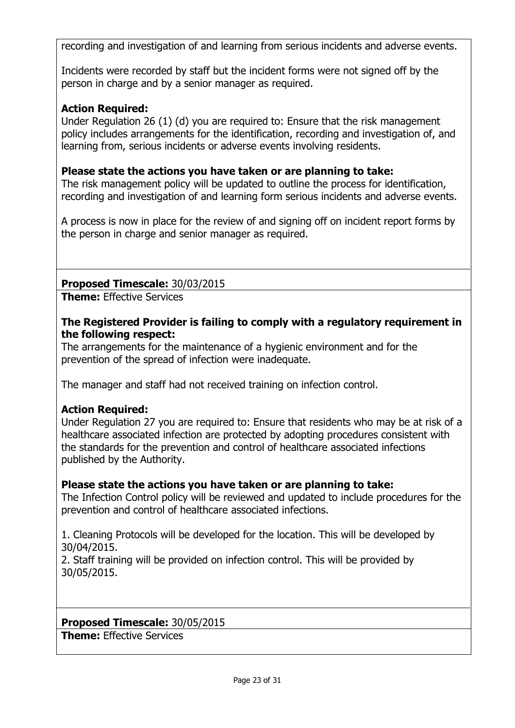recording and investigation of and learning from serious incidents and adverse events.

Incidents were recorded by staff but the incident forms were not signed off by the person in charge and by a senior manager as required.

### **Action Required:**

Under Regulation 26 (1) (d) you are required to: Ensure that the risk management policy includes arrangements for the identification, recording and investigation of, and learning from, serious incidents or adverse events involving residents.

### **Please state the actions you have taken or are planning to take:**

The risk management policy will be updated to outline the process for identification, recording and investigation of and learning form serious incidents and adverse events.

A process is now in place for the review of and signing off on incident report forms by the person in charge and senior manager as required.

### **Proposed Timescale:** 30/03/2015

**Theme:** Effective Services

### **The Registered Provider is failing to comply with a regulatory requirement in the following respect:**

The arrangements for the maintenance of a hygienic environment and for the prevention of the spread of infection were inadequate.

The manager and staff had not received training on infection control.

### **Action Required:**

Under Regulation 27 you are required to: Ensure that residents who may be at risk of a healthcare associated infection are protected by adopting procedures consistent with the standards for the prevention and control of healthcare associated infections published by the Authority.

### **Please state the actions you have taken or are planning to take:**

The Infection Control policy will be reviewed and updated to include procedures for the prevention and control of healthcare associated infections.

1. Cleaning Protocols will be developed for the location. This will be developed by 30/04/2015.

2. Staff training will be provided on infection control. This will be provided by 30/05/2015.

### **Proposed Timescale:** 30/05/2015

**Theme:** Effective Services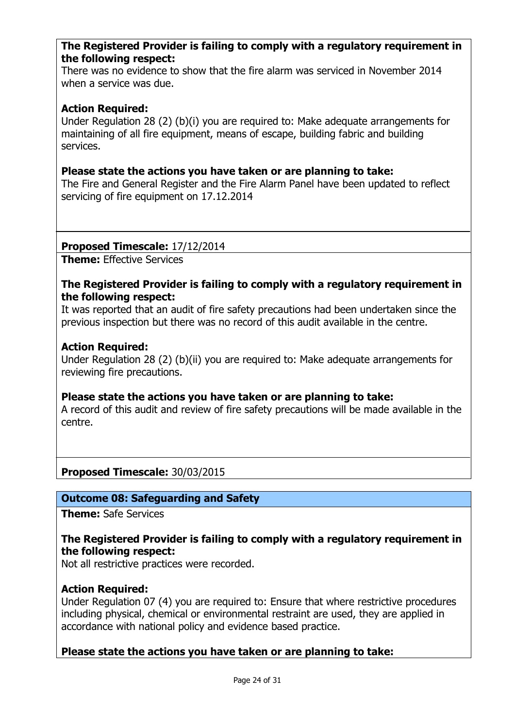#### **The Registered Provider is failing to comply with a regulatory requirement in the following respect:**

There was no evidence to show that the fire alarm was serviced in November 2014 when a service was due.

#### **Action Required:**

Under Regulation 28 (2) (b)(i) you are required to: Make adequate arrangements for maintaining of all fire equipment, means of escape, building fabric and building services.

#### **Please state the actions you have taken or are planning to take:**

The Fire and General Register and the Fire Alarm Panel have been updated to reflect servicing of fire equipment on 17.12.2014

#### **Proposed Timescale:** 17/12/2014

**Theme:** Effective Services

#### **The Registered Provider is failing to comply with a regulatory requirement in the following respect:**

It was reported that an audit of fire safety precautions had been undertaken since the previous inspection but there was no record of this audit available in the centre.

#### **Action Required:**

Under Regulation 28 (2) (b)(ii) you are required to: Make adequate arrangements for reviewing fire precautions.

#### **Please state the actions you have taken or are planning to take:**

A record of this audit and review of fire safety precautions will be made available in the centre.

**Proposed Timescale:** 30/03/2015

#### **Outcome 08: Safeguarding and Safety**

**Theme:** Safe Services

### **The Registered Provider is failing to comply with a regulatory requirement in the following respect:**

Not all restrictive practices were recorded.

### **Action Required:**

Under Regulation 07 (4) you are required to: Ensure that where restrictive procedures including physical, chemical or environmental restraint are used, they are applied in accordance with national policy and evidence based practice.

### **Please state the actions you have taken or are planning to take:**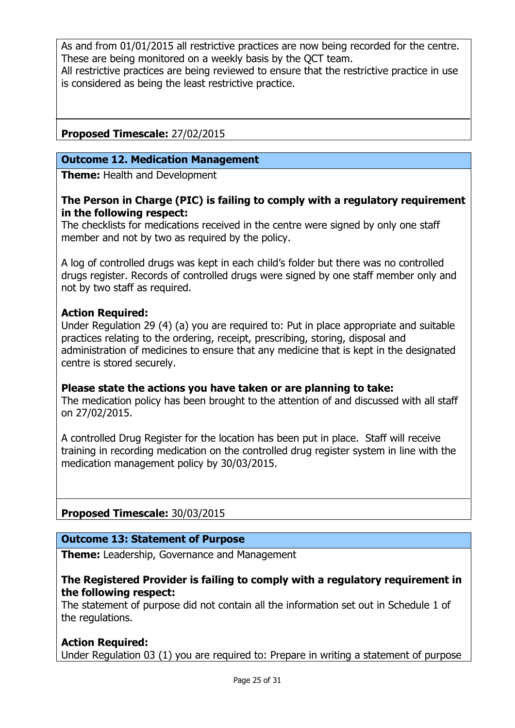As and from 01/01/2015 all restrictive practices are now being recorded for the centre. These are being monitored on a weekly basis by the QCT team. All restrictive practices are being reviewed to ensure that the restrictive practice in use is considered as being the least restrictive practice.

# **Proposed Timescale:** 27/02/2015

#### **Outcome 12. Medication Management**

**Theme:** Health and Development

#### **The Person in Charge (PIC) is failing to comply with a regulatory requirement in the following respect:**

The checklists for medications received in the centre were signed by only one staff member and not by two as required by the policy.

A log of controlled drugs was kept in each child's folder but there was no controlled drugs register. Records of controlled drugs were signed by one staff member only and not by two staff as required.

#### **Action Required:**

Under Regulation 29 (4) (a) you are required to: Put in place appropriate and suitable practices relating to the ordering, receipt, prescribing, storing, disposal and administration of medicines to ensure that any medicine that is kept in the designated centre is stored securely.

#### **Please state the actions you have taken or are planning to take:**

The medication policy has been brought to the attention of and discussed with all staff on 27/02/2015.

A controlled Drug Register for the location has been put in place. Staff will receive training in recording medication on the controlled drug register system in line with the medication management policy by 30/03/2015.

### **Proposed Timescale:** 30/03/2015

#### **Outcome 13: Statement of Purpose**

**Theme:** Leadership, Governance and Management

#### **The Registered Provider is failing to comply with a regulatory requirement in the following respect:**

The statement of purpose did not contain all the information set out in Schedule 1 of the regulations.

#### **Action Required:**

Under Regulation 03 (1) you are required to: Prepare in writing a statement of purpose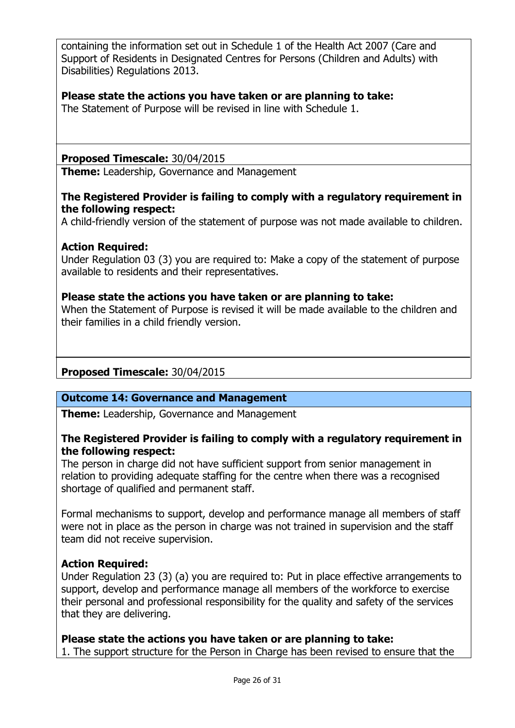containing the information set out in Schedule 1 of the Health Act 2007 (Care and Support of Residents in Designated Centres for Persons (Children and Adults) with Disabilities) Regulations 2013.

### **Please state the actions you have taken or are planning to take:**

The Statement of Purpose will be revised in line with Schedule 1.

#### **Proposed Timescale:** 30/04/2015

**Theme:** Leadership, Governance and Management

### **The Registered Provider is failing to comply with a regulatory requirement in the following respect:**

A child-friendly version of the statement of purpose was not made available to children.

### **Action Required:**

Under Regulation 03 (3) you are required to: Make a copy of the statement of purpose available to residents and their representatives.

### **Please state the actions you have taken or are planning to take:**

When the Statement of Purpose is revised it will be made available to the children and their families in a child friendly version.

### **Proposed Timescale:** 30/04/2015

### **Outcome 14: Governance and Management**

**Theme:** Leadership, Governance and Management

### **The Registered Provider is failing to comply with a regulatory requirement in the following respect:**

The person in charge did not have sufficient support from senior management in relation to providing adequate staffing for the centre when there was a recognised shortage of qualified and permanent staff.

Formal mechanisms to support, develop and performance manage all members of staff were not in place as the person in charge was not trained in supervision and the staff team did not receive supervision.

### **Action Required:**

Under Regulation 23 (3) (a) you are required to: Put in place effective arrangements to support, develop and performance manage all members of the workforce to exercise their personal and professional responsibility for the quality and safety of the services that they are delivering.

**Please state the actions you have taken or are planning to take:**  1. The support structure for the Person in Charge has been revised to ensure that the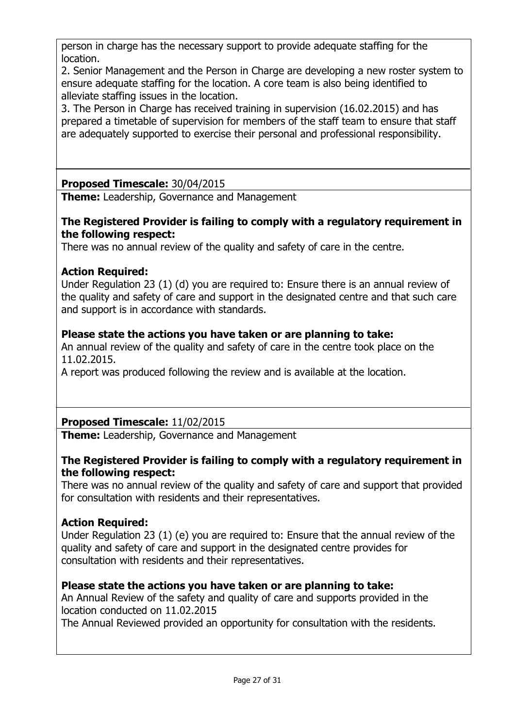person in charge has the necessary support to provide adequate staffing for the location.

2. Senior Management and the Person in Charge are developing a new roster system to ensure adequate staffing for the location. A core team is also being identified to alleviate staffing issues in the location.

3. The Person in Charge has received training in supervision (16.02.2015) and has prepared a timetable of supervision for members of the staff team to ensure that staff are adequately supported to exercise their personal and professional responsibility.

# **Proposed Timescale:** 30/04/2015

**Theme:** Leadership, Governance and Management

### **The Registered Provider is failing to comply with a regulatory requirement in the following respect:**

There was no annual review of the quality and safety of care in the centre.

# **Action Required:**

Under Regulation 23 (1) (d) you are required to: Ensure there is an annual review of the quality and safety of care and support in the designated centre and that such care and support is in accordance with standards.

# **Please state the actions you have taken or are planning to take:**

An annual review of the quality and safety of care in the centre took place on the 11.02.2015.

A report was produced following the review and is available at the location.

# **Proposed Timescale:** 11/02/2015

**Theme:** Leadership, Governance and Management

### **The Registered Provider is failing to comply with a regulatory requirement in the following respect:**

There was no annual review of the quality and safety of care and support that provided for consultation with residents and their representatives.

# **Action Required:**

Under Regulation 23 (1) (e) you are required to: Ensure that the annual review of the quality and safety of care and support in the designated centre provides for consultation with residents and their representatives.

# **Please state the actions you have taken or are planning to take:**

An Annual Review of the safety and quality of care and supports provided in the location conducted on 11.02.2015

The Annual Reviewed provided an opportunity for consultation with the residents.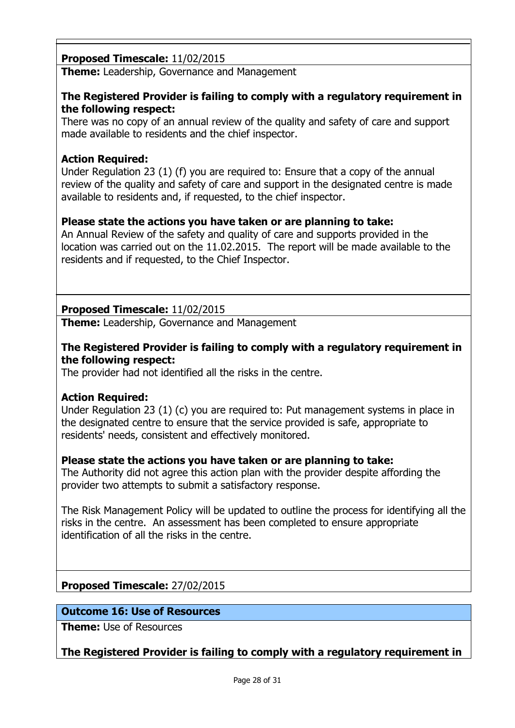# **Proposed Timescale:** 11/02/2015

**Theme:** Leadership, Governance and Management

### **The Registered Provider is failing to comply with a regulatory requirement in the following respect:**

There was no copy of an annual review of the quality and safety of care and support made available to residents and the chief inspector.

# **Action Required:**

Under Regulation 23 (1) (f) you are required to: Ensure that a copy of the annual review of the quality and safety of care and support in the designated centre is made available to residents and, if requested, to the chief inspector.

### **Please state the actions you have taken or are planning to take:**

An Annual Review of the safety and quality of care and supports provided in the location was carried out on the 11.02.2015. The report will be made available to the residents and if requested, to the Chief Inspector.

# **Proposed Timescale:** 11/02/2015

**Theme:** Leadership, Governance and Management

### **The Registered Provider is failing to comply with a regulatory requirement in the following respect:**

The provider had not identified all the risks in the centre.

### **Action Required:**

Under Regulation 23 (1) (c) you are required to: Put management systems in place in the designated centre to ensure that the service provided is safe, appropriate to residents' needs, consistent and effectively monitored.

### **Please state the actions you have taken or are planning to take:**

The Authority did not agree this action plan with the provider despite affording the provider two attempts to submit a satisfactory response.

The Risk Management Policy will be updated to outline the process for identifying all the risks in the centre. An assessment has been completed to ensure appropriate identification of all the risks in the centre.

### **Proposed Timescale:** 27/02/2015

### **Outcome 16: Use of Resources**

**Theme:** Use of Resources

### **The Registered Provider is failing to comply with a regulatory requirement in**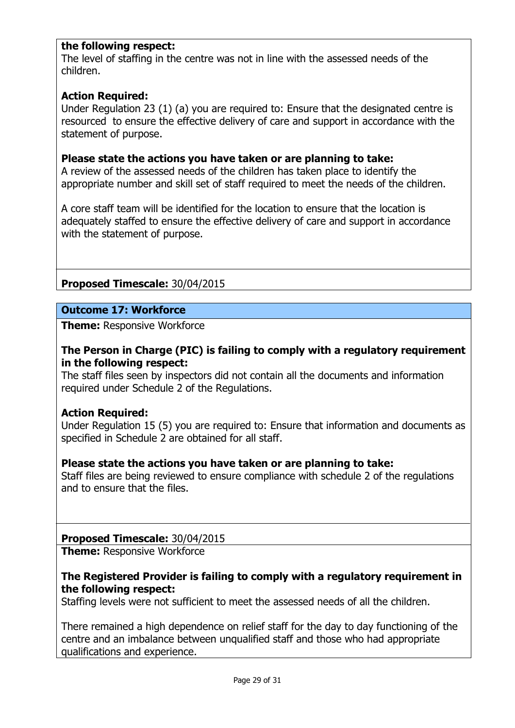### **the following respect:**

The level of staffing in the centre was not in line with the assessed needs of the children.

#### **Action Required:**

Under Regulation 23 (1) (a) you are required to: Ensure that the designated centre is resourced to ensure the effective delivery of care and support in accordance with the statement of purpose.

#### **Please state the actions you have taken or are planning to take:**

A review of the assessed needs of the children has taken place to identify the appropriate number and skill set of staff required to meet the needs of the children.

A core staff team will be identified for the location to ensure that the location is adequately staffed to ensure the effective delivery of care and support in accordance with the statement of purpose.

### **Proposed Timescale:** 30/04/2015

### **Outcome 17: Workforce**

**Theme:** Responsive Workforce

### **The Person in Charge (PIC) is failing to comply with a regulatory requirement in the following respect:**

The staff files seen by inspectors did not contain all the documents and information required under Schedule 2 of the Regulations.

#### **Action Required:**

Under Regulation 15 (5) you are required to: Ensure that information and documents as specified in Schedule 2 are obtained for all staff.

### **Please state the actions you have taken or are planning to take:**

Staff files are being reviewed to ensure compliance with schedule 2 of the regulations and to ensure that the files.

#### **Proposed Timescale:** 30/04/2015

**Theme: Responsive Workforce** 

#### **The Registered Provider is failing to comply with a regulatory requirement in the following respect:**

Staffing levels were not sufficient to meet the assessed needs of all the children.

There remained a high dependence on relief staff for the day to day functioning of the centre and an imbalance between unqualified staff and those who had appropriate qualifications and experience.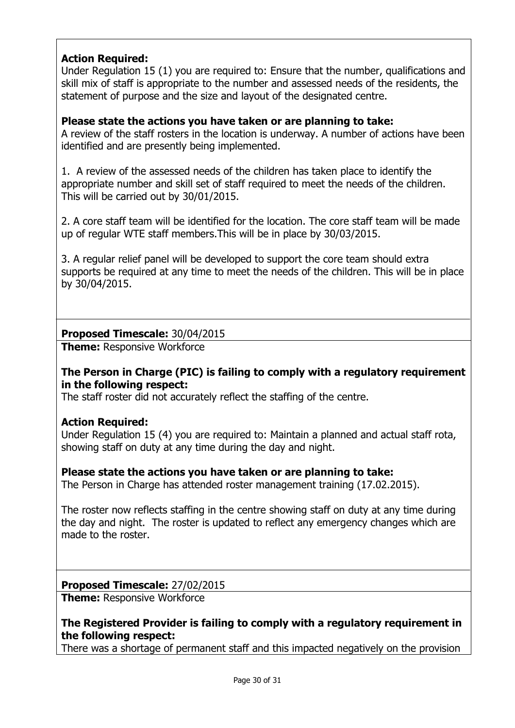# **Action Required:**

Under Regulation 15 (1) you are required to: Ensure that the number, qualifications and skill mix of staff is appropriate to the number and assessed needs of the residents, the statement of purpose and the size and layout of the designated centre.

### **Please state the actions you have taken or are planning to take:**

A review of the staff rosters in the location is underway. A number of actions have been identified and are presently being implemented.

1. A review of the assessed needs of the children has taken place to identify the appropriate number and skill set of staff required to meet the needs of the children. This will be carried out by 30/01/2015.

2. A core staff team will be identified for the location. The core staff team will be made up of regular WTE staff members.This will be in place by 30/03/2015.

3. A regular relief panel will be developed to support the core team should extra supports be required at any time to meet the needs of the children. This will be in place by 30/04/2015.

### **Proposed Timescale:** 30/04/2015

**Theme:** Responsive Workforce

### **The Person in Charge (PIC) is failing to comply with a regulatory requirement in the following respect:**

The staff roster did not accurately reflect the staffing of the centre.

### **Action Required:**

Under Regulation 15 (4) you are required to: Maintain a planned and actual staff rota, showing staff on duty at any time during the day and night.

#### **Please state the actions you have taken or are planning to take:**

The Person in Charge has attended roster management training (17.02.2015).

The roster now reflects staffing in the centre showing staff on duty at any time during the day and night. The roster is updated to reflect any emergency changes which are made to the roster.

### **Proposed Timescale:** 27/02/2015

**Theme: Responsive Workforce** 

**The Registered Provider is failing to comply with a regulatory requirement in the following respect:**

There was a shortage of permanent staff and this impacted negatively on the provision